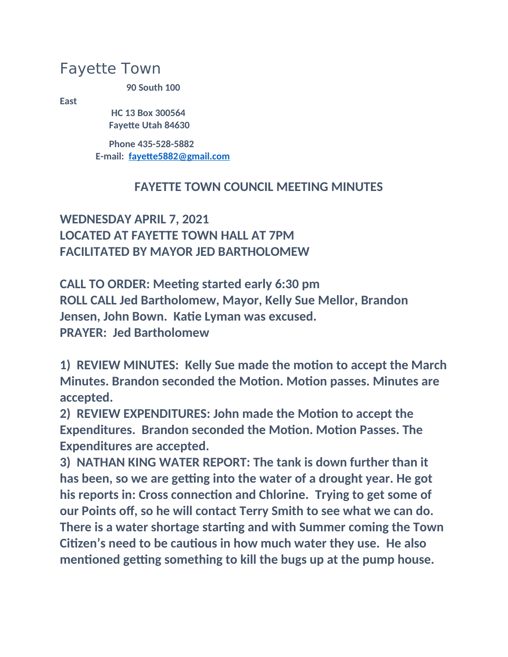## Fayette Town

**90 South 100** 

**East**

 **HC 13 Box 300564 Fayette Utah 84630**

 **Phone 435-528-5882 E-mail: [fayette5882@gmail.com](mailto:fayette5882@gmail.com)**

## **FAYETTE TOWN COUNCIL MEETING MINUTES**

## **WEDNESDAY APRIL 7, 2021 LOCATED AT FAYETTE TOWN HALL AT 7PM FACILITATED BY MAYOR JED BARTHOLOMEW**

**CALL TO ORDER: Meeting started early 6:30 pm ROLL CALL Jed Bartholomew, Mayor, Kelly Sue Mellor, Brandon Jensen, John Bown. Katie Lyman was excused. PRAYER: Jed Bartholomew**

**1) REVIEW MINUTES: Kelly Sue made the motion to accept the March Minutes. Brandon seconded the Motion. Motion passes. Minutes are accepted.**

**2) REVIEW EXPENDITURES: John made the Motion to accept the Expenditures. Brandon seconded the Motion. Motion Passes. The Expenditures are accepted.**

**3) NATHAN KING WATER REPORT: The tank is down further than it has been, so we are getting into the water of a drought year. He got his reports in: Cross connection and Chlorine. Trying to get some of our Points off, so he will contact Terry Smith to see what we can do. There is a water shortage starting and with Summer coming the Town Citizen's need to be cautious in how much water they use. He also mentioned getting something to kill the bugs up at the pump house.**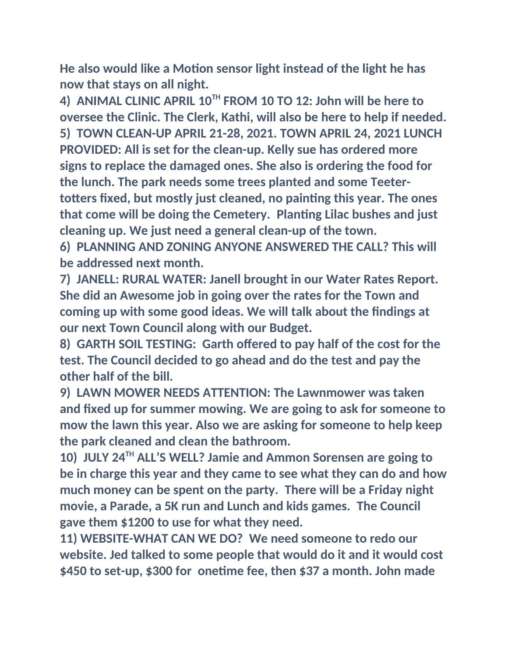**He also would like a Motion sensor light instead of the light he has now that stays on all night.**

**4) ANIMAL CLINIC APRIL 10TH FROM 10 TO 12: John will be here to oversee the Clinic. The Clerk, Kathi, will also be here to help if needed. 5) TOWN CLEAN-UP APRIL 21-28, 2021. TOWN APRIL 24, 2021 LUNCH PROVIDED: All is set for the clean-up. Kelly sue has ordered more signs to replace the damaged ones. She also is ordering the food for the lunch. The park needs some trees planted and some Teetertotters fixed, but mostly just cleaned, no painting this year. The ones that come will be doing the Cemetery. Planting Lilac bushes and just cleaning up. We just need a general clean-up of the town.**

**6) PLANNING AND ZONING ANYONE ANSWERED THE CALL? This will be addressed next month.**

**7) JANELL: RURAL WATER: Janell brought in our Water Rates Report. She did an Awesome job in going over the rates for the Town and coming up with some good ideas. We will talk about the findings at our next Town Council along with our Budget.**

**8) GARTH SOIL TESTING: Garth offered to pay half of the cost for the test. The Council decided to go ahead and do the test and pay the other half of the bill.**

**9) LAWN MOWER NEEDS ATTENTION: The Lawnmower was taken and fixed up for summer mowing. We are going to ask for someone to mow the lawn this year. Also we are asking for someone to help keep the park cleaned and clean the bathroom.**

**10) JULY 24TH ALL'S WELL? Jamie and Ammon Sorensen are going to be in charge this year and they came to see what they can do and how much money can be spent on the party. There will be a Friday night movie, a Parade, a 5K run and Lunch and kids games. The Council gave them \$1200 to use for what they need.**

**11) WEBSITE-WHAT CAN WE DO? We need someone to redo our website. Jed talked to some people that would do it and it would cost \$450 to set-up, \$300 for onetime fee, then \$37 a month. John made**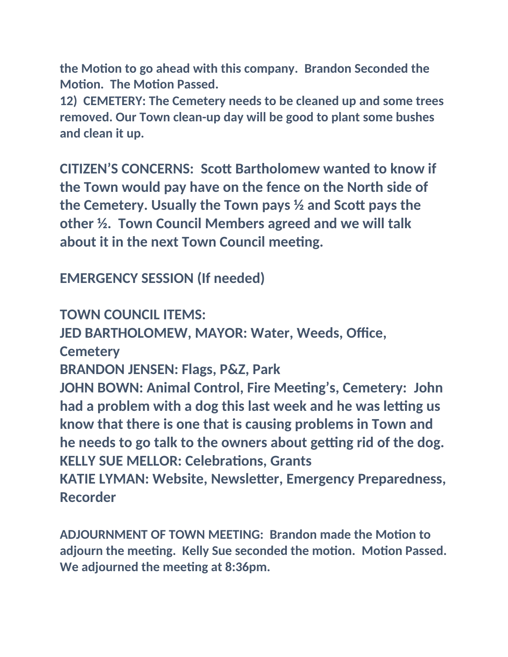**the Motion to go ahead with this company. Brandon Seconded the Motion. The Motion Passed.**

**12) CEMETERY: The Cemetery needs to be cleaned up and some trees removed. Our Town clean-up day will be good to plant some bushes and clean it up.**

**CITIZEN'S CONCERNS: Scott Bartholomew wanted to know if the Town would pay have on the fence on the North side of the Cemetery. Usually the Town pays ½ and Scott pays the other ½. Town Council Members agreed and we will talk about it in the next Town Council meeting.**

**EMERGENCY SESSION (If needed)**

**TOWN COUNCIL ITEMS: JED BARTHOLOMEW, MAYOR: Water, Weeds, Office, Cemetery BRANDON JENSEN: Flags, P&Z, Park JOHN BOWN: Animal Control, Fire Meeting's, Cemetery: John had a problem with a dog this last week and he was letting us know that there is one that is causing problems in Town and he needs to go talk to the owners about getting rid of the dog. KELLY SUE MELLOR: Celebrations, Grants KATIE LYMAN: Website, Newsletter, Emergency Preparedness, Recorder**

**ADJOURNMENT OF TOWN MEETING: Brandon made the Motion to adjourn the meeting. Kelly Sue seconded the motion. Motion Passed. We adjourned the meeting at 8:36pm.**